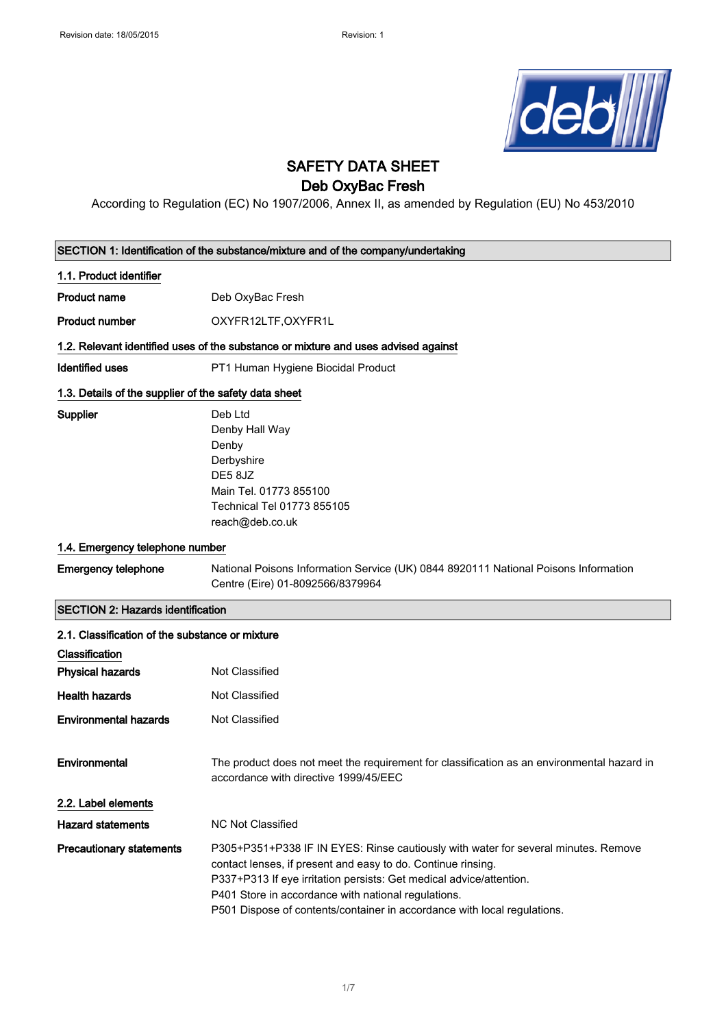

# SAFETY DATA SHEET

## Deb OxyBac Fresh

According to Regulation (EC) No 1907/2006, Annex II, as amended by Regulation (EU) No 453/2010

| SECTION 1: Identification of the substance/mixture and of the company/undertaking |                                                                                                                                                                                                                                                                                                                                                              |
|-----------------------------------------------------------------------------------|--------------------------------------------------------------------------------------------------------------------------------------------------------------------------------------------------------------------------------------------------------------------------------------------------------------------------------------------------------------|
| 1.1. Product identifier                                                           |                                                                                                                                                                                                                                                                                                                                                              |
| <b>Product name</b>                                                               | Deb OxyBac Fresh                                                                                                                                                                                                                                                                                                                                             |
| <b>Product number</b>                                                             | OXYFR12LTF, OXYFR1L                                                                                                                                                                                                                                                                                                                                          |
|                                                                                   | 1.2. Relevant identified uses of the substance or mixture and uses advised against                                                                                                                                                                                                                                                                           |
| Identified uses                                                                   | PT1 Human Hygiene Biocidal Product                                                                                                                                                                                                                                                                                                                           |
| 1.3. Details of the supplier of the safety data sheet                             |                                                                                                                                                                                                                                                                                                                                                              |
| Supplier                                                                          | Deb Ltd<br>Denby Hall Way<br>Denby<br>Derbyshire<br>DE5 8JZ<br>Main Tel. 01773 855100<br>Technical Tel 01773 855105<br>reach@deb.co.uk                                                                                                                                                                                                                       |
| 1.4. Emergency telephone number                                                   |                                                                                                                                                                                                                                                                                                                                                              |
| <b>Emergency telephone</b>                                                        | National Poisons Information Service (UK) 0844 8920111 National Poisons Information<br>Centre (Eire) 01-8092566/8379964                                                                                                                                                                                                                                      |
| <b>SECTION 2: Hazards identification</b>                                          |                                                                                                                                                                                                                                                                                                                                                              |
| 2.1. Classification of the substance or mixture                                   |                                                                                                                                                                                                                                                                                                                                                              |
| Classification                                                                    |                                                                                                                                                                                                                                                                                                                                                              |
| <b>Physical hazards</b>                                                           | Not Classified                                                                                                                                                                                                                                                                                                                                               |
| <b>Health hazards</b>                                                             | Not Classified                                                                                                                                                                                                                                                                                                                                               |
| <b>Environmental hazards</b>                                                      | Not Classified                                                                                                                                                                                                                                                                                                                                               |
| Environmental                                                                     | The product does not meet the requirement for classification as an environmental hazard in<br>accordance with directive 1999/45/EEC                                                                                                                                                                                                                          |
| 2.2. Label elements                                                               |                                                                                                                                                                                                                                                                                                                                                              |
| <b>Hazard statements</b>                                                          | <b>NC Not Classified</b>                                                                                                                                                                                                                                                                                                                                     |
| <b>Precautionary statements</b>                                                   | P305+P351+P338 IF IN EYES: Rinse cautiously with water for several minutes. Remove<br>contact lenses, if present and easy to do. Continue rinsing.<br>P337+P313 If eye irritation persists: Get medical advice/attention.<br>P401 Store in accordance with national regulations.<br>P501 Dispose of contents/container in accordance with local regulations. |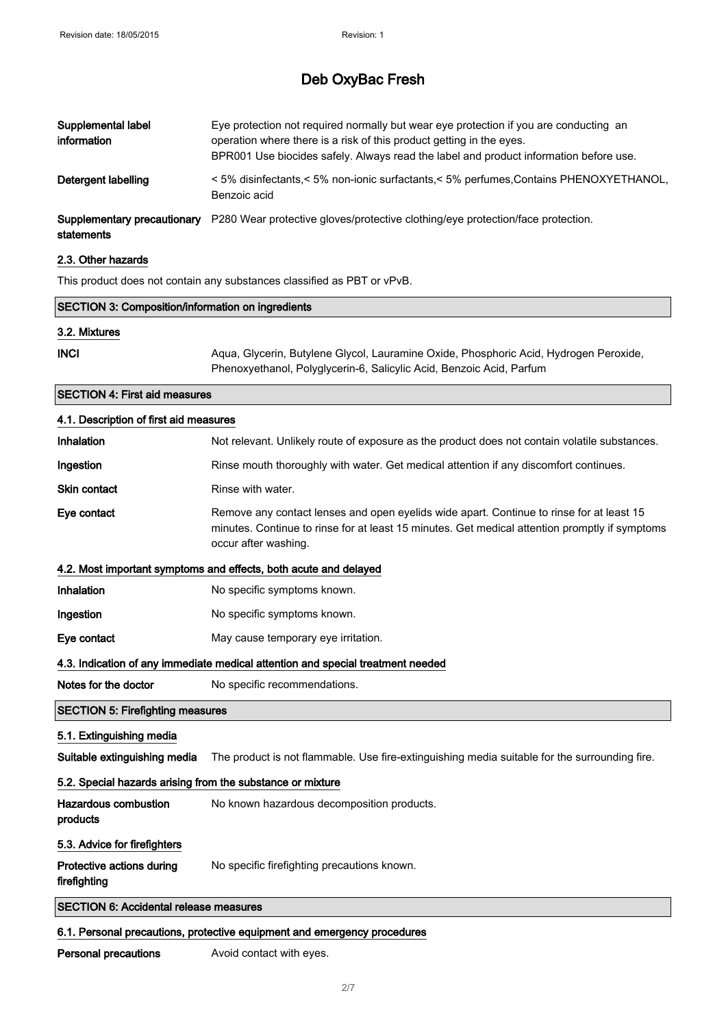| Supplemental label<br>information         | Eye protection not required normally but wear eye protection if you are conducting an<br>operation where there is a risk of this product getting in the eyes.<br>BPR001 Use biocides safely. Always read the label and product information before use. |
|-------------------------------------------|--------------------------------------------------------------------------------------------------------------------------------------------------------------------------------------------------------------------------------------------------------|
| Detergent labelling                       | < 5% disinfectants,< 5% non-ionic surfactants,< 5% perfumes,Contains PHENOXYETHANOL,<br>Benzoic acid                                                                                                                                                   |
| Supplementary precautionary<br>statements | P280 Wear protective gloves/protective clothing/eye protection/face protection.                                                                                                                                                                        |

#### 2.3. Other hazards

This product does not contain any substances classified as PBT or vPvB.

| <b>SECTION 3: Composition/information on ingredients</b>         |                                                                                                                                                                                                                    |
|------------------------------------------------------------------|--------------------------------------------------------------------------------------------------------------------------------------------------------------------------------------------------------------------|
| 3.2. Mixtures                                                    |                                                                                                                                                                                                                    |
| <b>INCI</b>                                                      | Aqua, Glycerin, Butylene Glycol, Lauramine Oxide, Phosphoric Acid, Hydrogen Peroxide,<br>Phenoxyethanol, Polyglycerin-6, Salicylic Acid, Benzoic Acid, Parfum                                                      |
| <b>SECTION 4: First aid measures</b>                             |                                                                                                                                                                                                                    |
| 4.1. Description of first aid measures                           |                                                                                                                                                                                                                    |
| Inhalation                                                       | Not relevant. Unlikely route of exposure as the product does not contain volatile substances.                                                                                                                      |
| Ingestion                                                        | Rinse mouth thoroughly with water. Get medical attention if any discomfort continues.                                                                                                                              |
| <b>Skin contact</b>                                              | Rinse with water.                                                                                                                                                                                                  |
| Eye contact                                                      | Remove any contact lenses and open eyelids wide apart. Continue to rinse for at least 15<br>minutes. Continue to rinse for at least 15 minutes. Get medical attention promptly if symptoms<br>occur after washing. |
| 4.2. Most important symptoms and effects, both acute and delayed |                                                                                                                                                                                                                    |
| Inhalation                                                       | No specific symptoms known.                                                                                                                                                                                        |
| Ingestion                                                        | No specific symptoms known.                                                                                                                                                                                        |
| Eye contact                                                      | May cause temporary eye irritation.                                                                                                                                                                                |
|                                                                  | 4.3. Indication of any immediate medical attention and special treatment needed                                                                                                                                    |
| Notes for the doctor                                             | No specific recommendations.                                                                                                                                                                                       |
| <b>SECTION 5: Firefighting measures</b>                          |                                                                                                                                                                                                                    |
| 5.1. Extinguishing media                                         |                                                                                                                                                                                                                    |
| Suitable extinguishing media                                     | The product is not flammable. Use fire-extinguishing media suitable for the surrounding fire.                                                                                                                      |
| 5.2. Special hazards arising from the substance or mixture       |                                                                                                                                                                                                                    |
| Hazardous combustion<br>products                                 | No known hazardous decomposition products.                                                                                                                                                                         |
| 5.3. Advice for firefighters                                     |                                                                                                                                                                                                                    |
| Protective actions during<br>firefighting                        | No specific firefighting precautions known.                                                                                                                                                                        |
| <b>SECTION 6: Accidental release measures</b>                    |                                                                                                                                                                                                                    |
|                                                                  |                                                                                                                                                                                                                    |

#### 6.1. Personal precautions, protective equipment and emergency procedures

Personal precautions **Avoid contact with eyes.**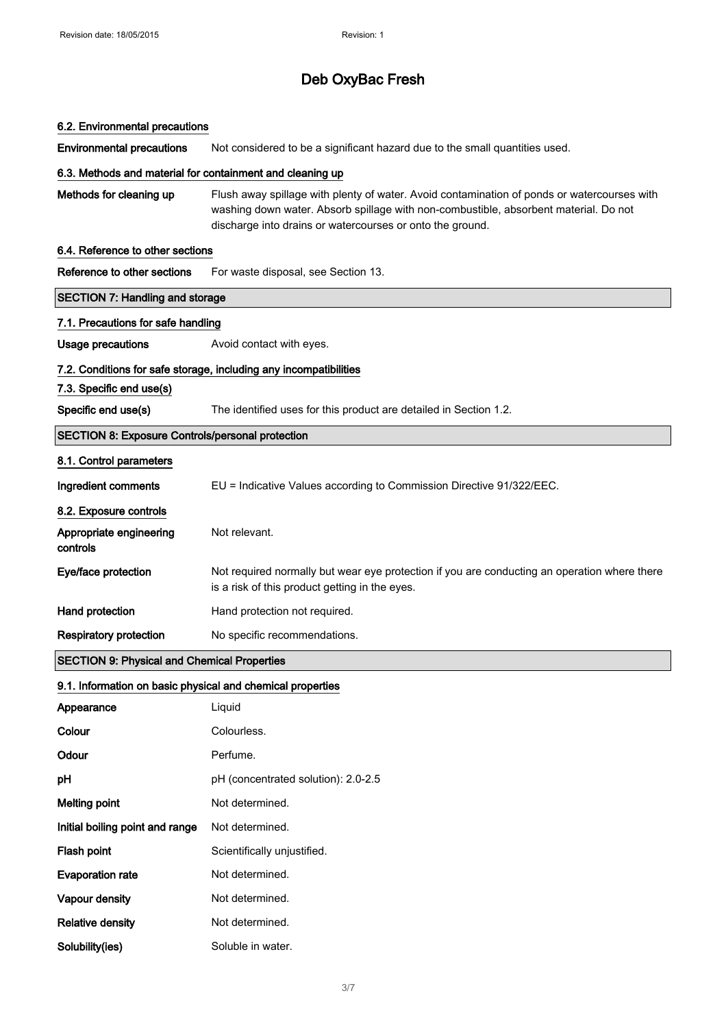# 6.2. Environmental precautions

Environmental precautions Not considered to be a significant hazard due to the small quantities used.

#### 6.3. Methods and material for containment and cleaning up

Methods for cleaning up Flush away spillage with plenty of water. Avoid contamination of ponds or watercourses with washing down water. Absorb spillage with non-combustible, absorbent material. Do not discharge into drains or watercourses or onto the ground.

#### 6.4. Reference to other sections

| Reference to other sections                             | For waste disposal, see Section 13.                                                                                                            |
|---------------------------------------------------------|------------------------------------------------------------------------------------------------------------------------------------------------|
| <b>SECTION 7: Handling and storage</b>                  |                                                                                                                                                |
| 7.1. Precautions for safe handling                      |                                                                                                                                                |
| Usage precautions                                       | Avoid contact with eyes.                                                                                                                       |
|                                                         | 7.2. Conditions for safe storage, including any incompatibilities                                                                              |
| 7.3. Specific end use(s)                                |                                                                                                                                                |
| Specific end use(s)                                     | The identified uses for this product are detailed in Section 1.2.                                                                              |
| <b>SECTION 8: Exposure Controls/personal protection</b> |                                                                                                                                                |
| 8.1. Control parameters                                 |                                                                                                                                                |
| Ingredient comments                                     | EU = Indicative Values according to Commission Directive 91/322/EEC.                                                                           |
| 8.2. Exposure controls                                  |                                                                                                                                                |
| Appropriate engineering<br>controls                     | Not relevant.                                                                                                                                  |
| Eye/face protection                                     | Not required normally but wear eye protection if you are conducting an operation where there<br>is a risk of this product getting in the eyes. |
| Hand protection                                         | Hand protection not required.                                                                                                                  |
| <b>Respiratory protection</b>                           | No specific recommendations.                                                                                                                   |
| <b>SECTION 9: Physical and Chemical Properties</b>      |                                                                                                                                                |

#### 9.1. Information on basic physical and chemical properties

| Appearance                      | Liquid                              |
|---------------------------------|-------------------------------------|
| Colour                          | Colourless.                         |
| Odour                           | Perfume.                            |
| рH                              | pH (concentrated solution): 2.0-2.5 |
| <b>Melting point</b>            | Not determined.                     |
| Initial boiling point and range | Not determined.                     |
| Flash point                     | Scientifically unjustified.         |
| <b>Evaporation rate</b>         | Not determined.                     |
| Vapour density                  | Not determined.                     |
| <b>Relative density</b>         | Not determined.                     |
| Solubility(ies)                 | Soluble in water.                   |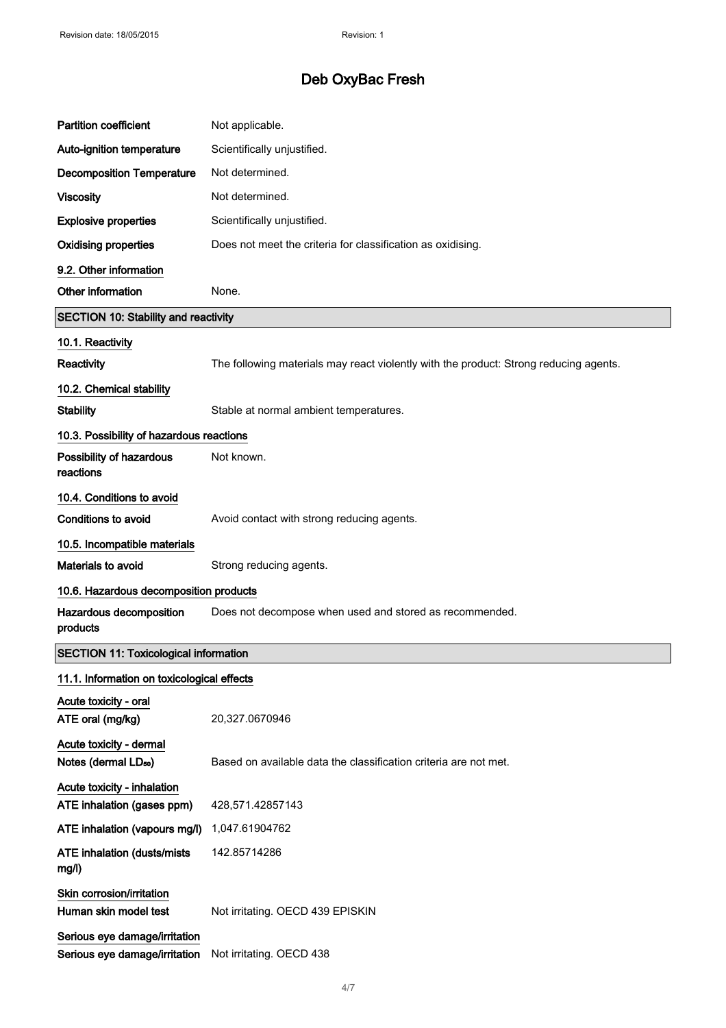| <b>Partition coefficient</b>                                   | Not applicable.                                                                       |
|----------------------------------------------------------------|---------------------------------------------------------------------------------------|
| Auto-ignition temperature                                      | Scientifically unjustified.                                                           |
| <b>Decomposition Temperature</b>                               | Not determined.                                                                       |
| <b>Viscosity</b>                                               | Not determined.                                                                       |
| <b>Explosive properties</b>                                    | Scientifically unjustified.                                                           |
| <b>Oxidising properties</b>                                    | Does not meet the criteria for classification as oxidising.                           |
| 9.2. Other information                                         |                                                                                       |
| Other information                                              | None.                                                                                 |
| <b>SECTION 10: Stability and reactivity</b>                    |                                                                                       |
| 10.1. Reactivity<br>Reactivity<br>10.2. Chemical stability     | The following materials may react violently with the product: Strong reducing agents. |
| <b>Stability</b>                                               | Stable at normal ambient temperatures.                                                |
| 10.3. Possibility of hazardous reactions                       |                                                                                       |
| Possibility of hazardous<br>reactions                          | Not known.                                                                            |
| 10.4. Conditions to avoid                                      |                                                                                       |
| <b>Conditions to avoid</b>                                     | Avoid contact with strong reducing agents.                                            |
| 10.5. Incompatible materials                                   |                                                                                       |
| Materials to avoid                                             | Strong reducing agents.                                                               |
| 10.6. Hazardous decomposition products                         |                                                                                       |
| Hazardous decomposition<br>products                            | Does not decompose when used and stored as recommended.                               |
| <b>SECTION 11: Toxicological information</b>                   |                                                                                       |
| 11.1. Information on toxicological effects                     |                                                                                       |
| Acute toxicity - oral<br>ATE oral (mg/kg)                      | 20,327.0670946                                                                        |
| Acute toxicity - dermal<br>Notes (dermal LD <sub>50</sub> )    | Based on available data the classification criteria are not met.                      |
| Acute toxicity - inhalation                                    |                                                                                       |
| ATE inhalation (gases ppm)<br>ATE inhalation (vapours mg/l)    | 428,571.42857143<br>1,047.61904762                                                    |
| ATE inhalation (dusts/mists                                    | 142.85714286                                                                          |
| mg/l)                                                          |                                                                                       |
| Skin corrosion/irritation<br>Human skin model test             | Not irritating. OECD 439 EPISKIN                                                      |
| Serious eye damage/irritation<br>Serious eye damage/irritation | Not irritating. OECD 438                                                              |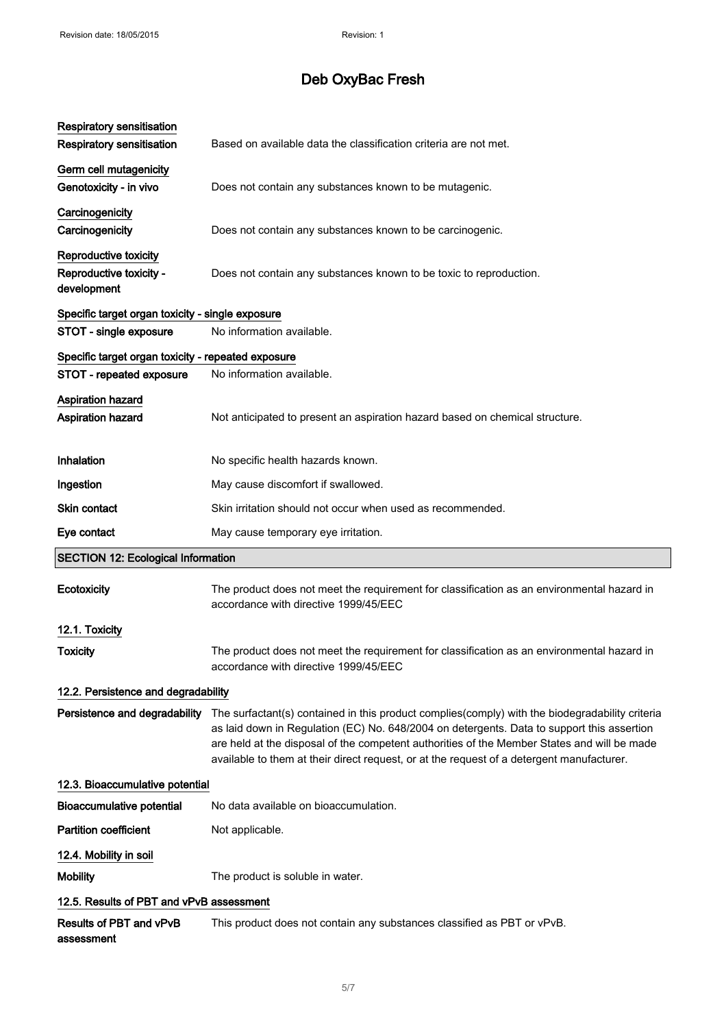| <b>Respiratory sensitisation</b>                                |                                                                                                                                                                                                                                                                                                                                                                                           |
|-----------------------------------------------------------------|-------------------------------------------------------------------------------------------------------------------------------------------------------------------------------------------------------------------------------------------------------------------------------------------------------------------------------------------------------------------------------------------|
| <b>Respiratory sensitisation</b>                                | Based on available data the classification criteria are not met.                                                                                                                                                                                                                                                                                                                          |
| Germ cell mutagenicity<br>Genotoxicity - in vivo                | Does not contain any substances known to be mutagenic.                                                                                                                                                                                                                                                                                                                                    |
| Carcinogenicity<br>Carcinogenicity                              | Does not contain any substances known to be carcinogenic.                                                                                                                                                                                                                                                                                                                                 |
| Reproductive toxicity<br>Reproductive toxicity -<br>development | Does not contain any substances known to be toxic to reproduction.                                                                                                                                                                                                                                                                                                                        |
| Specific target organ toxicity - single exposure                |                                                                                                                                                                                                                                                                                                                                                                                           |
| STOT - single exposure                                          | No information available.                                                                                                                                                                                                                                                                                                                                                                 |
| Specific target organ toxicity - repeated exposure              |                                                                                                                                                                                                                                                                                                                                                                                           |
| STOT - repeated exposure                                        | No information available.                                                                                                                                                                                                                                                                                                                                                                 |
| <b>Aspiration hazard</b><br>Aspiration hazard                   | Not anticipated to present an aspiration hazard based on chemical structure.                                                                                                                                                                                                                                                                                                              |
| Inhalation                                                      | No specific health hazards known.                                                                                                                                                                                                                                                                                                                                                         |
| Ingestion                                                       | May cause discomfort if swallowed.                                                                                                                                                                                                                                                                                                                                                        |
| Skin contact                                                    | Skin irritation should not occur when used as recommended.                                                                                                                                                                                                                                                                                                                                |
| Eye contact                                                     | May cause temporary eye irritation.                                                                                                                                                                                                                                                                                                                                                       |
| <b>SECTION 12: Ecological Information</b>                       |                                                                                                                                                                                                                                                                                                                                                                                           |
| <b>Ecotoxicity</b>                                              | The product does not meet the requirement for classification as an environmental hazard in<br>accordance with directive 1999/45/EEC                                                                                                                                                                                                                                                       |
| 12.1. Toxicity                                                  |                                                                                                                                                                                                                                                                                                                                                                                           |
| <b>Toxicity</b>                                                 | The product does not meet the requirement for classification as an environmental hazard in<br>accordance with directive 1999/45/EEC                                                                                                                                                                                                                                                       |
| 12.2. Persistence and degradability                             |                                                                                                                                                                                                                                                                                                                                                                                           |
| Persistence and degradability                                   | The surfactant(s) contained in this product complies(comply) with the biodegradability criteria<br>as laid down in Regulation (EC) No. 648/2004 on detergents. Data to support this assertion<br>are held at the disposal of the competent authorities of the Member States and will be made<br>available to them at their direct request, or at the request of a detergent manufacturer. |
| 12.3. Bioaccumulative potential                                 |                                                                                                                                                                                                                                                                                                                                                                                           |
| <b>Bioaccumulative potential</b>                                | No data available on bioaccumulation.                                                                                                                                                                                                                                                                                                                                                     |
| <b>Partition coefficient</b>                                    | Not applicable.                                                                                                                                                                                                                                                                                                                                                                           |
| 12.4. Mobility in soil                                          |                                                                                                                                                                                                                                                                                                                                                                                           |
|                                                                 |                                                                                                                                                                                                                                                                                                                                                                                           |
| <b>Mobility</b>                                                 | The product is soluble in water.                                                                                                                                                                                                                                                                                                                                                          |
| 12.5. Results of PBT and vPvB assessment                        |                                                                                                                                                                                                                                                                                                                                                                                           |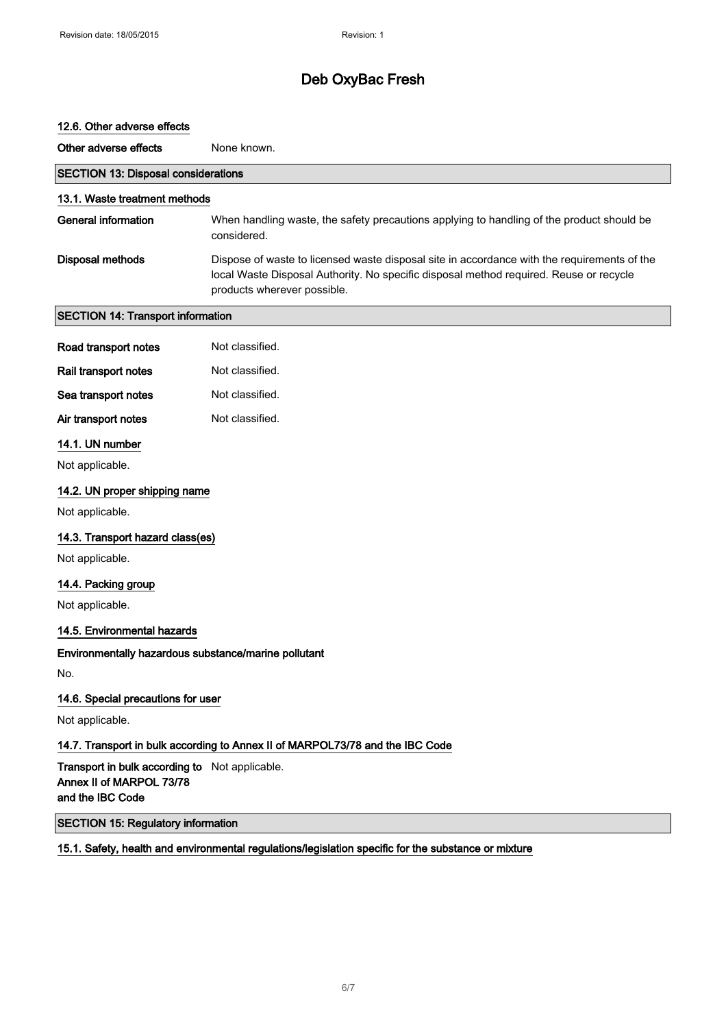# 12.6. Other adverse effects Other adverse effects None known. SECTION 13: Disposal considerations 13.1. Waste treatment methods General information When handling waste, the safety precautions applying to handling of the product should be considered. Disposal methods Dispose of waste to licensed waste disposal site in accordance with the requirements of the local Waste Disposal Authority. No specific disposal method required. Reuse or recycle products wherever possible. SECTION 14: Transport information Road transport notes Not classified. Rail transport notes Not classified. Sea transport notes Not classified. Air transport notes Not classified. 14.1. UN number Not applicable. 14.2. UN proper shipping name Not applicable. 14.3. Transport hazard class(es) Not applicable. 14.4. Packing group Not applicable. 14.5. Environmental hazards Environmentally hazardous substance/marine pollutant No. 14.6. Special precautions for user Not applicable. 14.7. Transport in bulk according to Annex II of MARPOL73/78 and the IBC Code Transport in bulk according to Not applicable. Annex II of MARPOL 73/78 and the IBC Code SECTION 15: Regulatory information

#### 15.1. Safety, health and environmental regulations/legislation specific for the substance or mixture